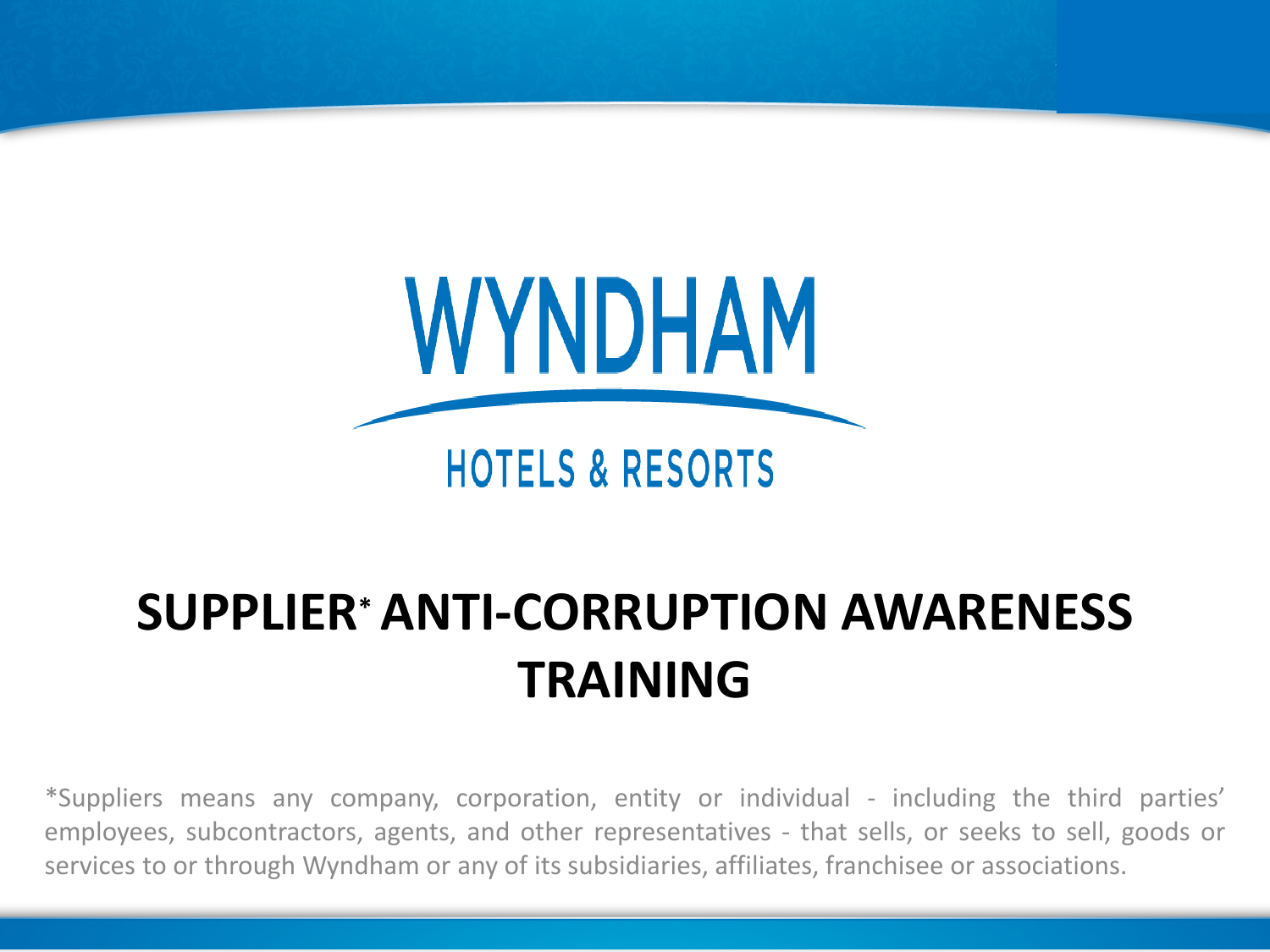

# **SUPPLIER\*ANTI-CORRUPTION AWARENESS TRAINING**

\*Suppliers means any company, corporation, entity or individual - including the third parties' employees, subcontractors, agents, and other representatives - that sells, or seeks to sell, goods or services to or through Wyndham or any of its subsidiaries, affiliates, franchisee or associations.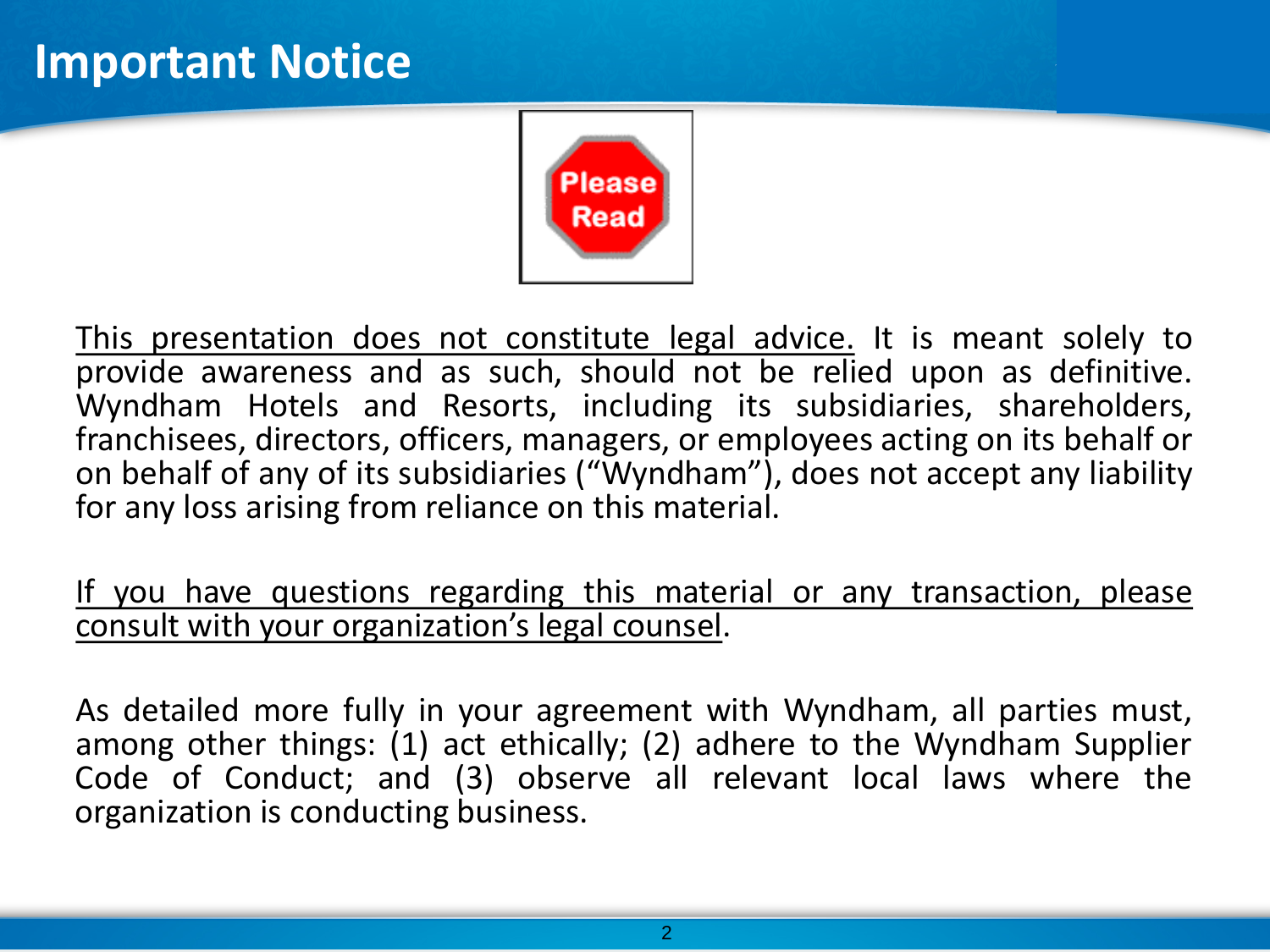### **Important Notice**



This presentation does not constitute legal advice. It is meant solely to<br>provide awareness and as such, should not be relied upon as definitive. Wyndham Hotels and Resorts, including its subsidiaries, shareholders, franchisees, directors, officers, managers, or employees acting on its behalf or on behalf of any of its subsidiaries ("Wyndham"), does not accept any liability for any loss arising from reliance on this material.

If you have questions regarding this material or any transaction, please consult with your organization's legal counsel.

As detailed more fully in your agreement with Wyndham, all parties must, among other things: (1) act ethically; (2) adhere to the Wyndham Supplier Code of Conduct; and (3) observe all relevant local laws where the organization is conducting business.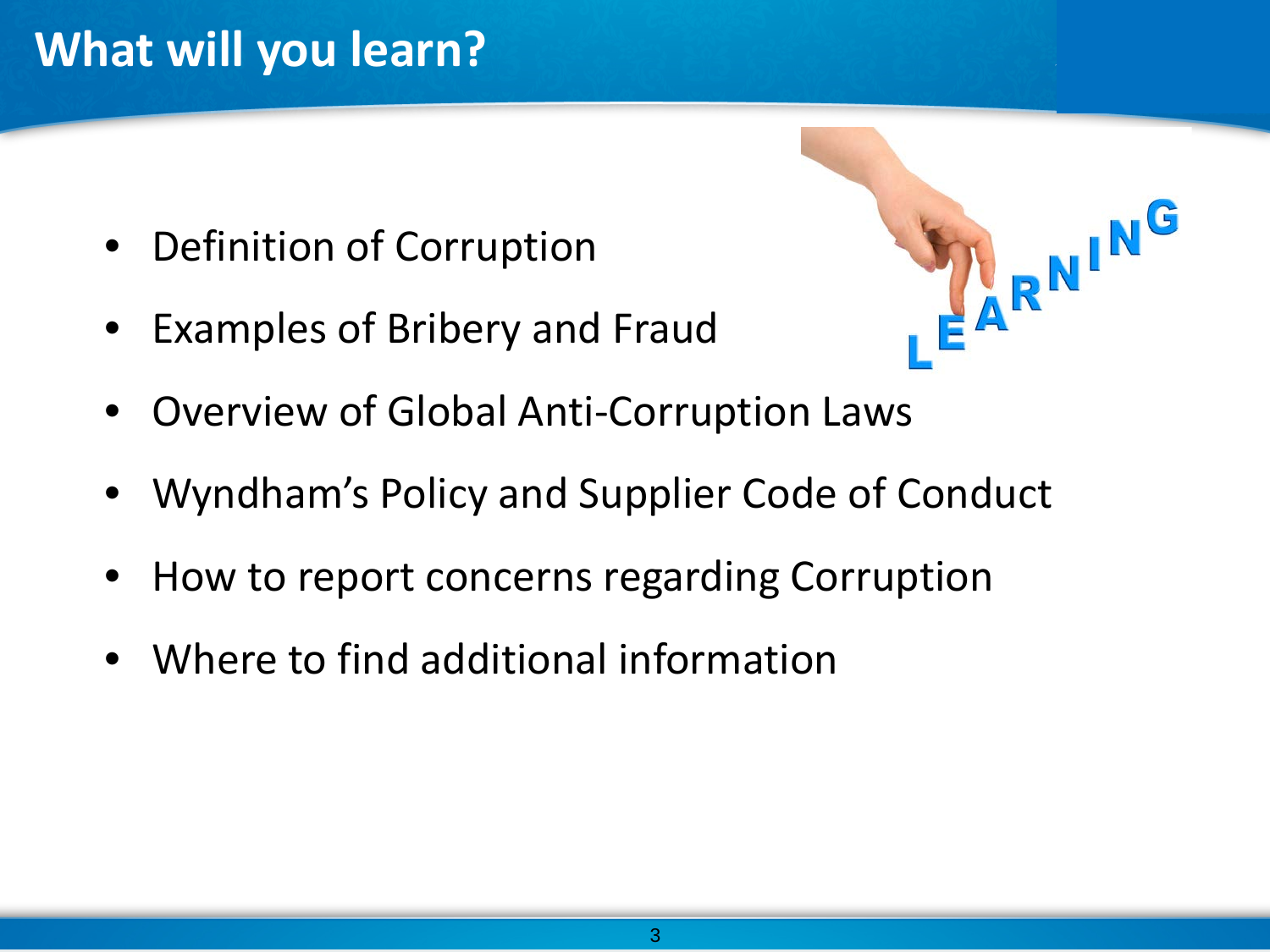# **What will you learn?**

- Definition of Corruption
- Examples of Bribery and Fraud



- Overview of Global Anti-Corruption Laws
- Wyndham's Policy and Supplier Code of Conduct
- How to report concerns regarding Corruption
- Where to find additional information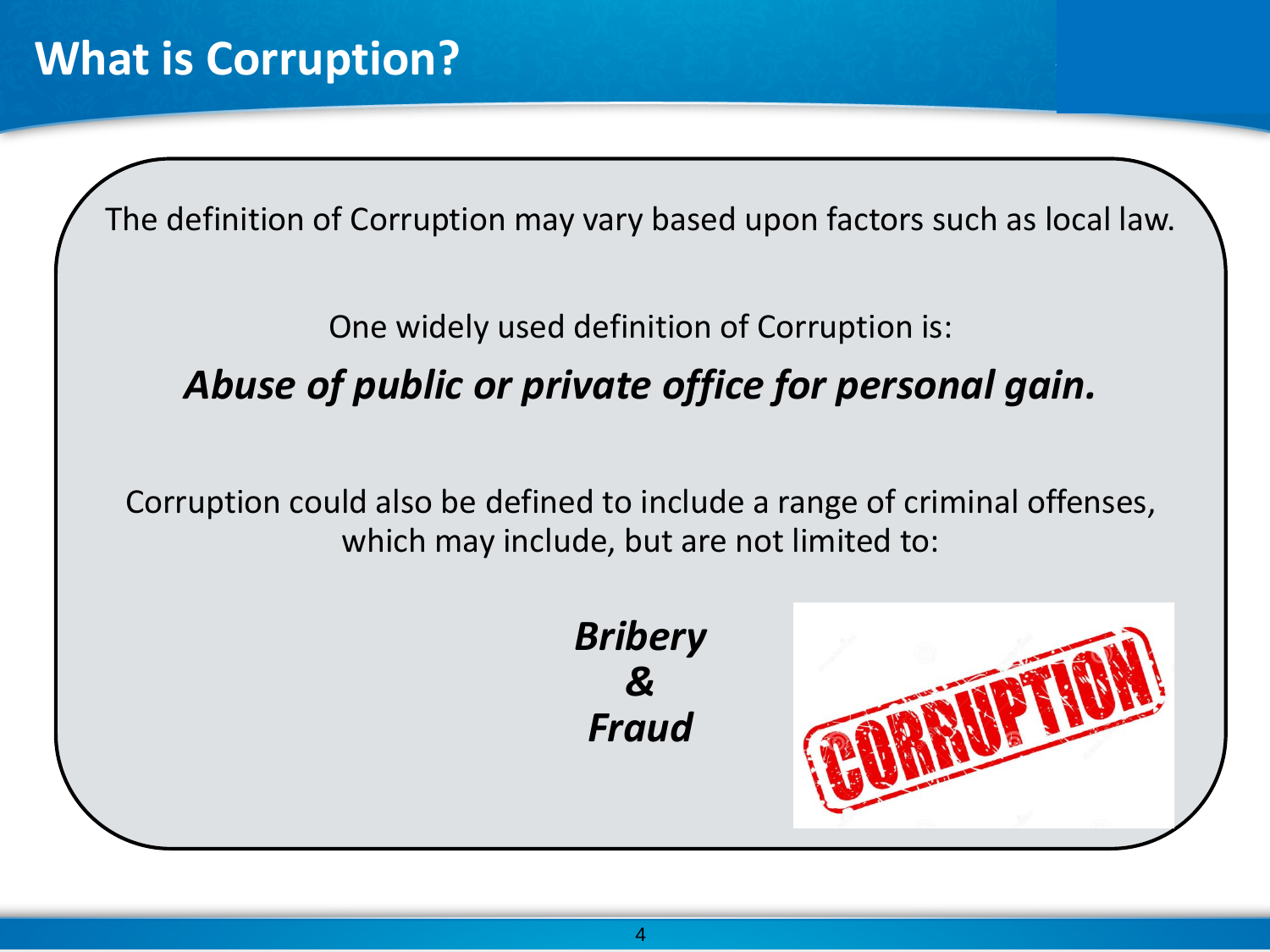The definition of Corruption may vary based upon factors such as local law.

### One widely used definition of Corruption is: *Abuse of public or private office for personal gain.*

Corruption could also be defined to include a range of criminal offenses, which may include, but are not limited to:



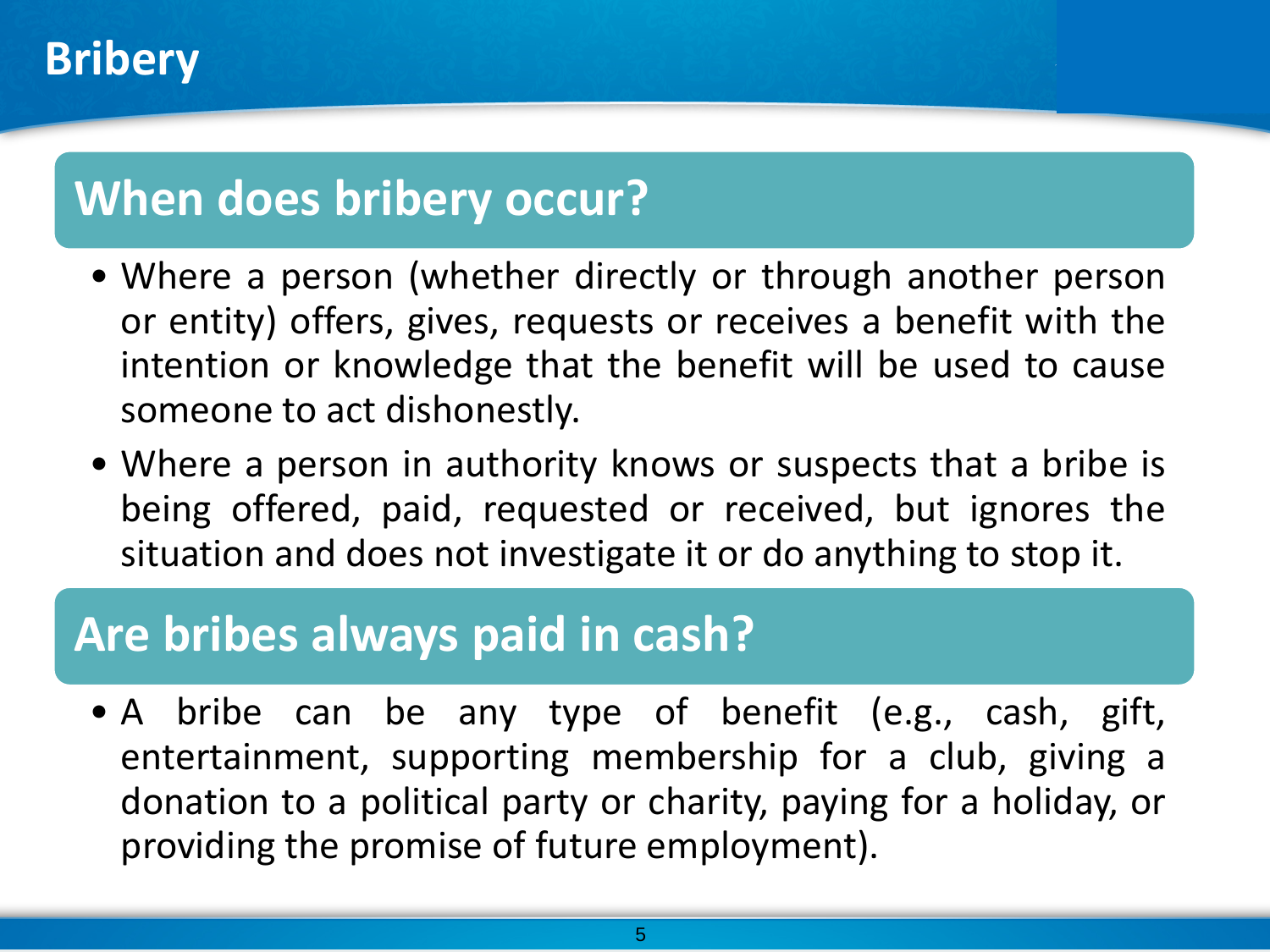# **When does bribery occur?**

- Where a person (whether directly or through another person or entity) offers, gives, requests or receives a benefit with the intention or knowledge that the benefit will be used to cause someone to act dishonestly.
- Where a person in authority knows or suspects that a bribe is being offered, paid, requested or received, but ignores the situation and does not investigate it or do anything to stop it.

### **Are bribes always paid in cash?**

• A bribe can be any type of benefit (e.g., cash, gift, entertainment, supporting membership for a club, giving a donation to a political party or charity, paying for a holiday, or providing the promise of future employment).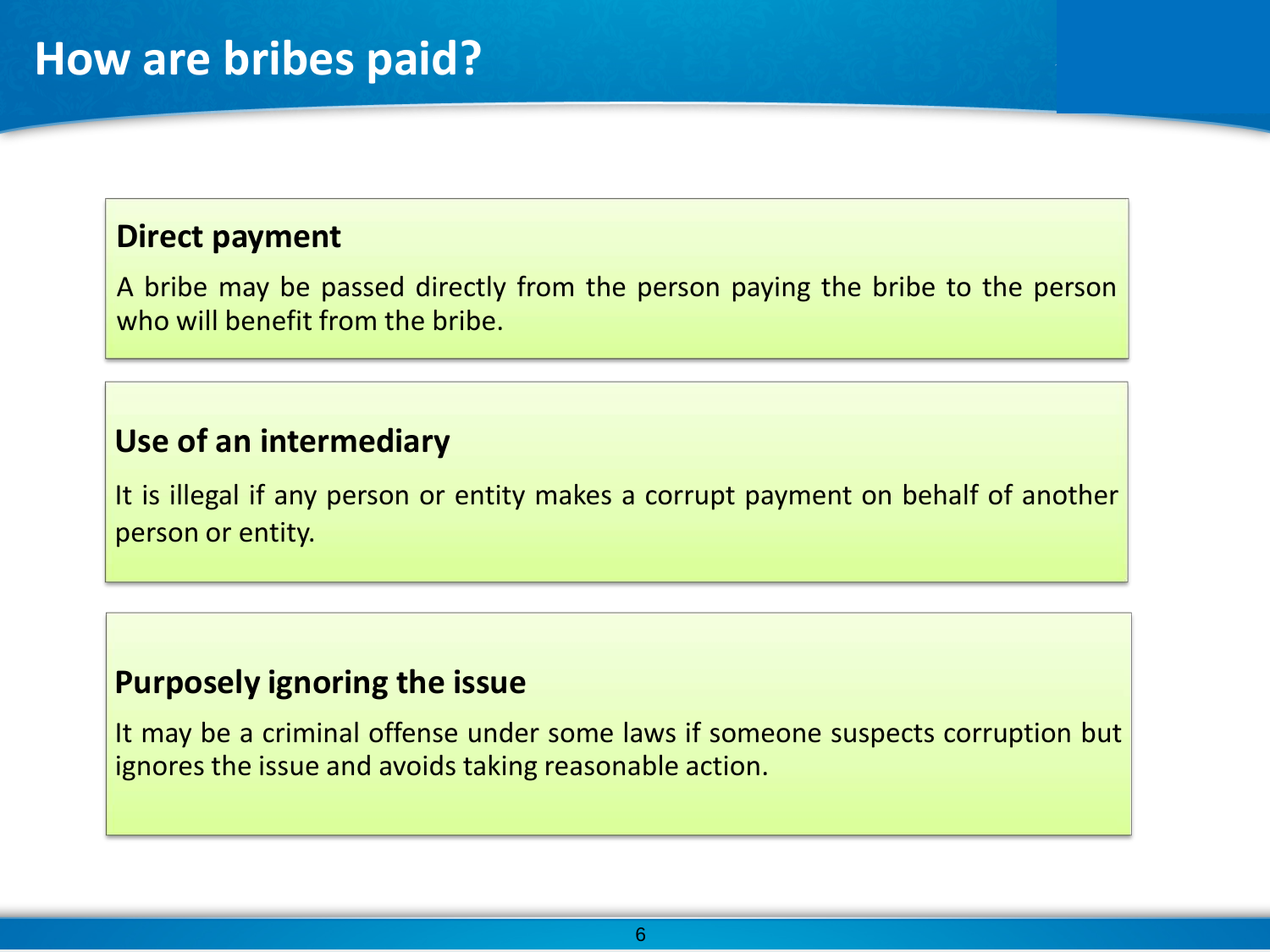### **Direct payment**

A bribe may be passed directly from the person paying the bribe to the person who will benefit from the bribe.

### **Use of an intermediary**

It is illegal if any person or entity makes a corrupt payment on behalf of another person or entity.

### **Purposely ignoring the issue**

It may be a criminal offense under some laws if someone suspects corruption but ignores the issue and avoids taking reasonable action.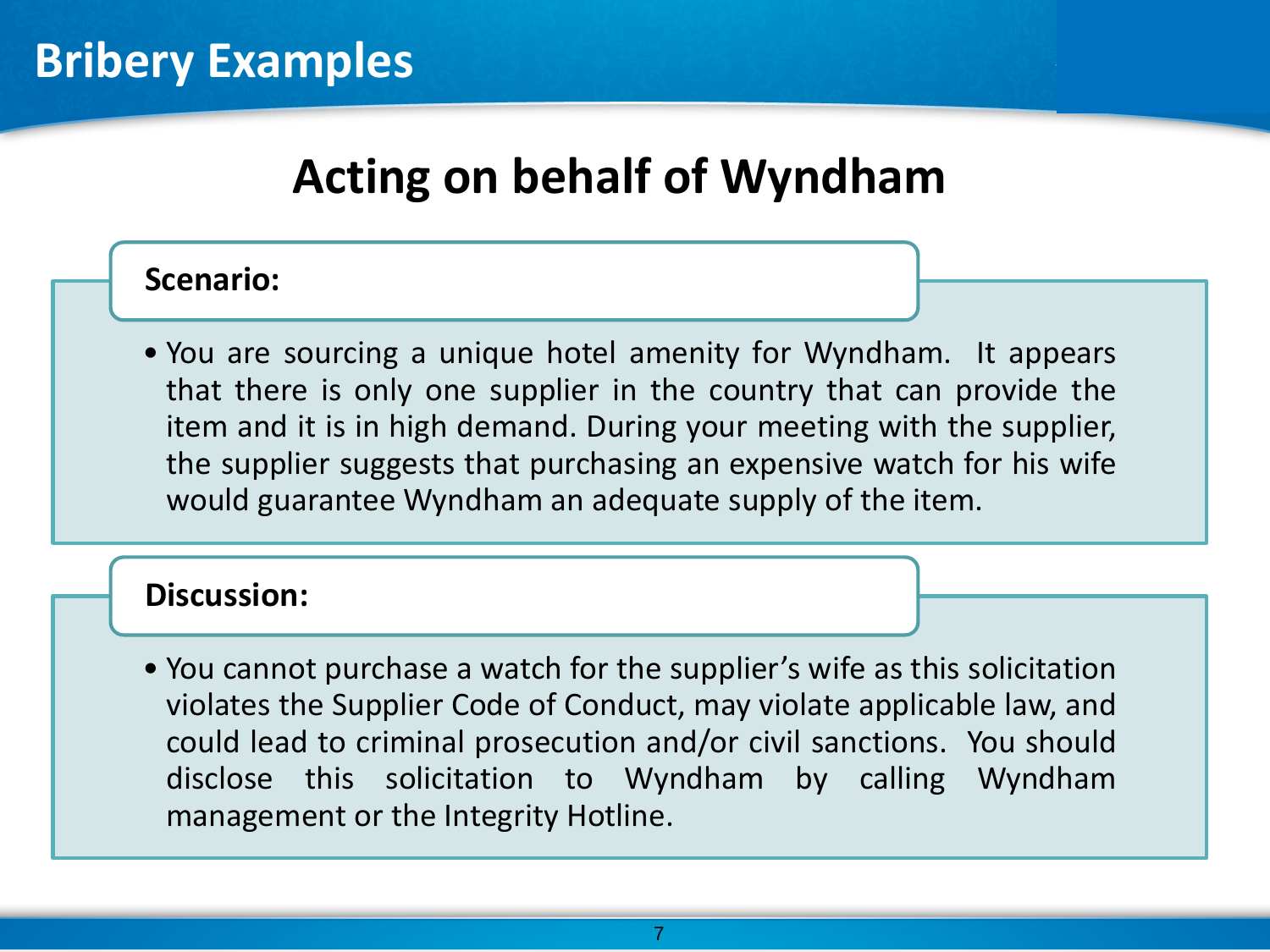## **Acting on behalf of Wyndham**

### **Scenario:**

• You are sourcing a unique hotel amenity for Wyndham. It appears that there is only one supplier in the country that can provide the item and it is in high demand. During your meeting with the supplier, the supplier suggests that purchasing an expensive watch for his wife would guarantee Wyndham an adequate supply of the item.

### **Discussion:**

• You cannot purchase a watch for the supplier's wife as this solicitation violates the Supplier Code of Conduct, may violate applicable law, and could lead to criminal prosecution and/or civil sanctions. You should disclose this solicitation to Wyndham by calling Wyndham management or the Integrity Hotline.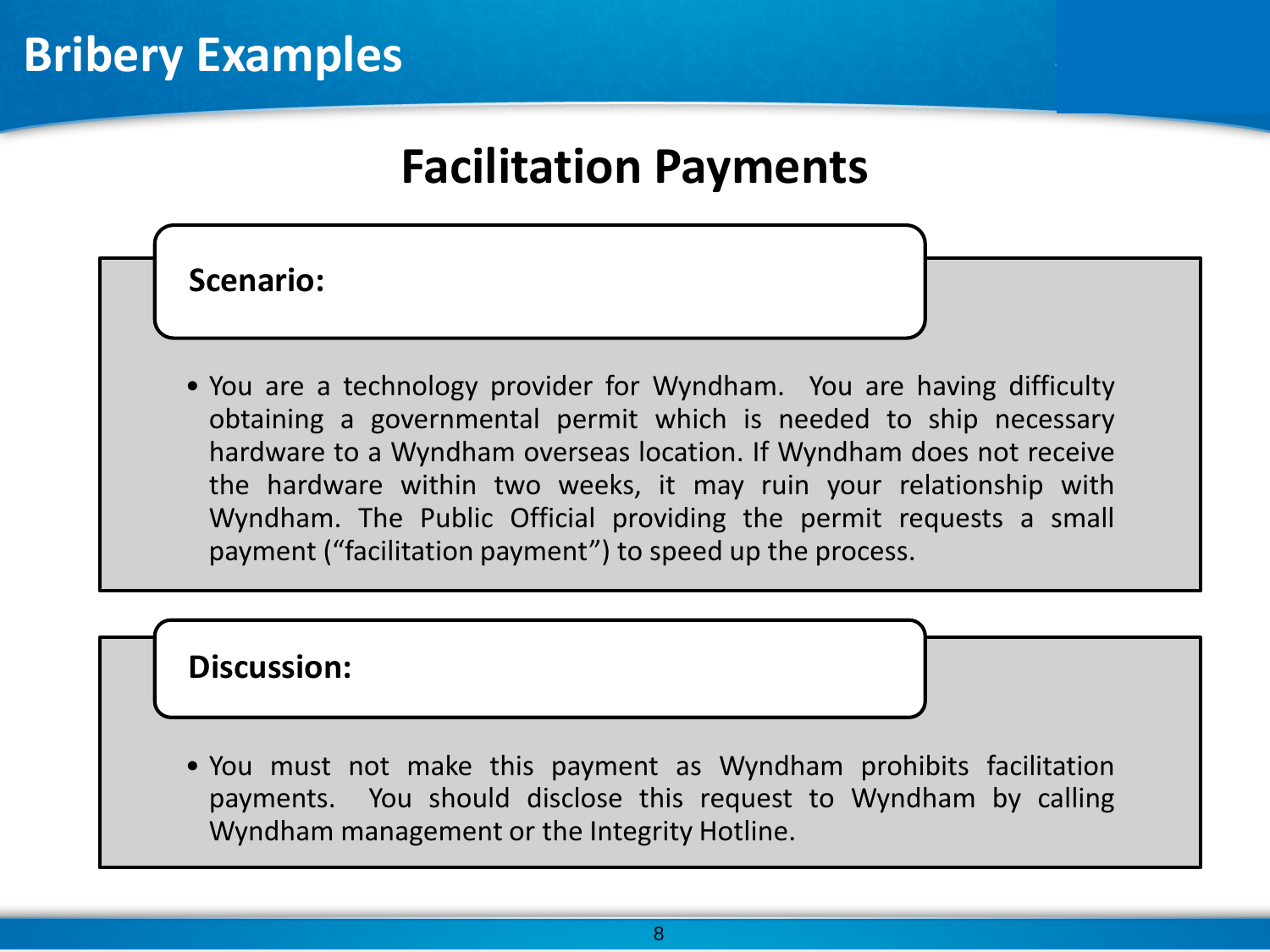## **Facilitation Payments**

**Scenario:**

• You are a technology provider for Wyndham. You are having difficulty obtaining a governmental permit which is needed to ship necessary hardware to a Wyndham overseas location. If Wyndham does not receive the hardware within two weeks, it may ruin your relationship with Wyndham. The Public Official providing the permit requests a small payment ("facilitation payment") to speed up the process.

### **Discussion:**

• You must not make this payment as Wyndham prohibits facilitation payments. You should disclose this request to Wyndham by calling Wyndham management or the Integrity Hotline.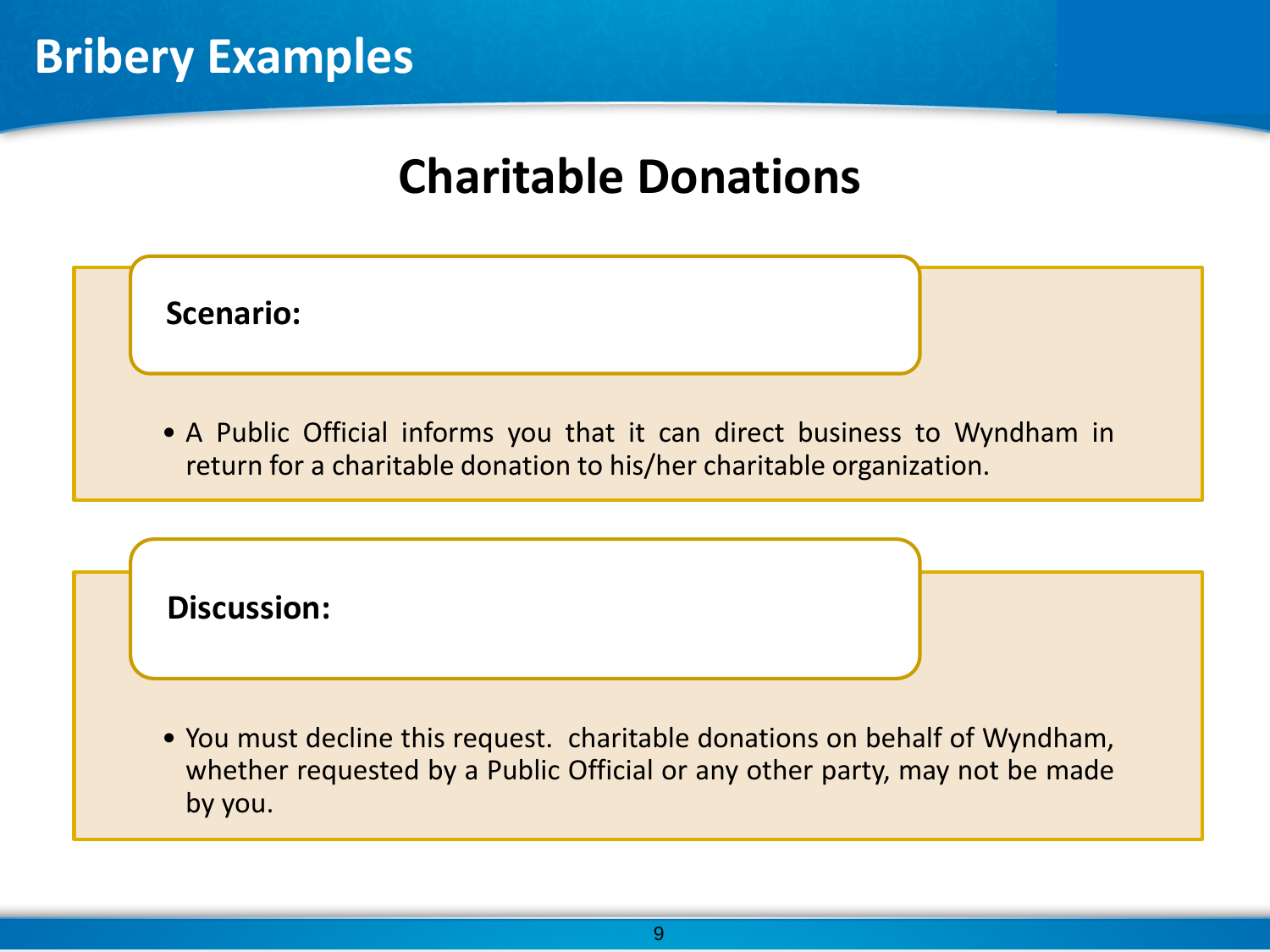# **Charitable Donations**



• You must decline this request. charitable donations on behalf of Wyndham, whether requested by a Public Official or any other party, may not be made by you.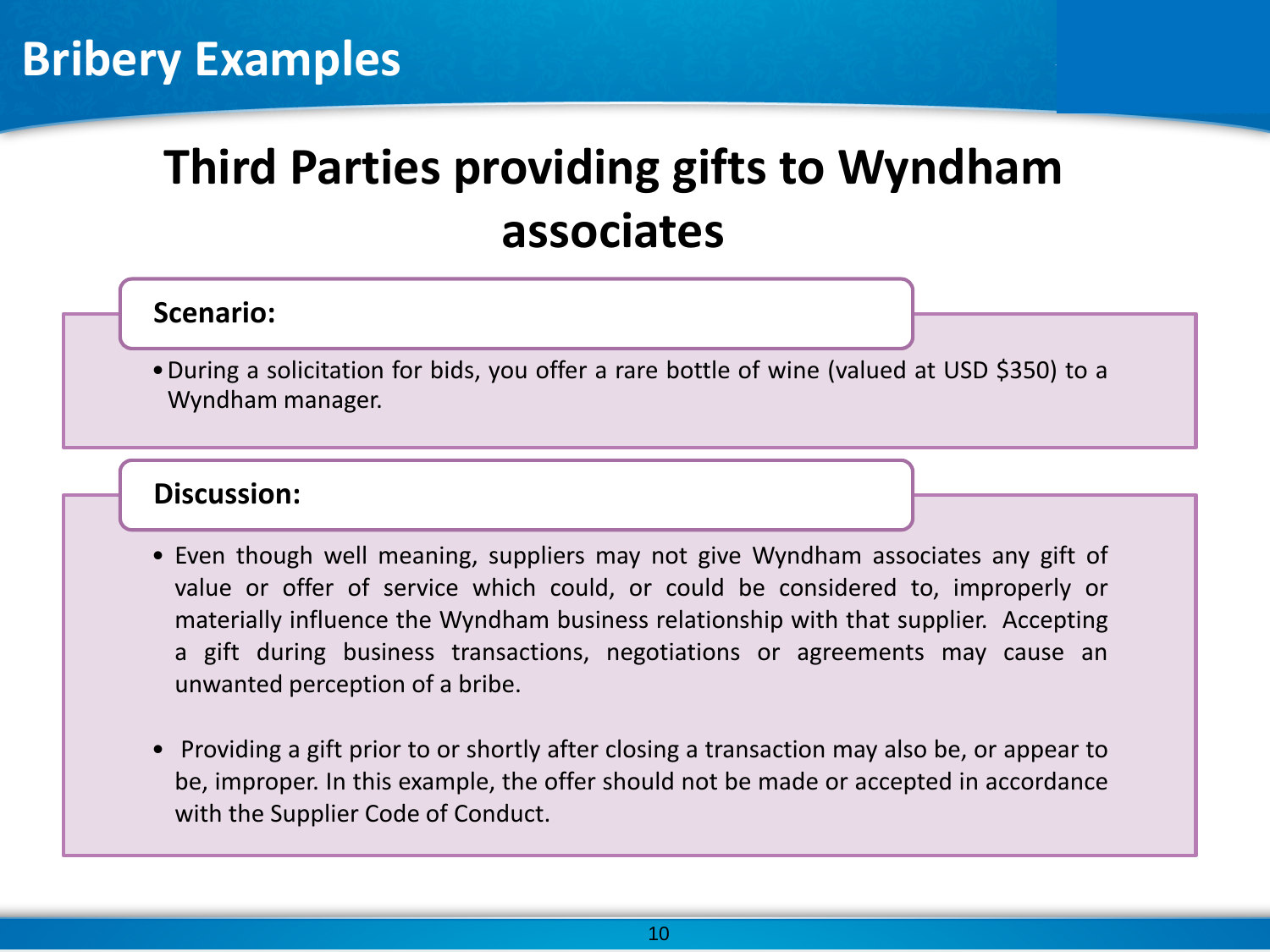# **Third Parties providing gifts to Wyndham associates**

#### **Scenario:**

•During a solicitation for bids, you offer a rare bottle of wine (valued at USD \$350) to a Wyndham manager.

#### **Discussion:**

- Even though well meaning, suppliers may not give Wyndham associates any gift of value or offer of service which could, or could be considered to, improperly or materially influence the Wyndham business relationship with that supplier. Accepting a gift during business transactions, negotiations or agreements may cause an unwanted perception of a bribe.
- Providing a gift prior to or shortly after closing a transaction may also be, or appear to be, improper. In this example, the offer should not be made or accepted in accordance with the Supplier Code of Conduct.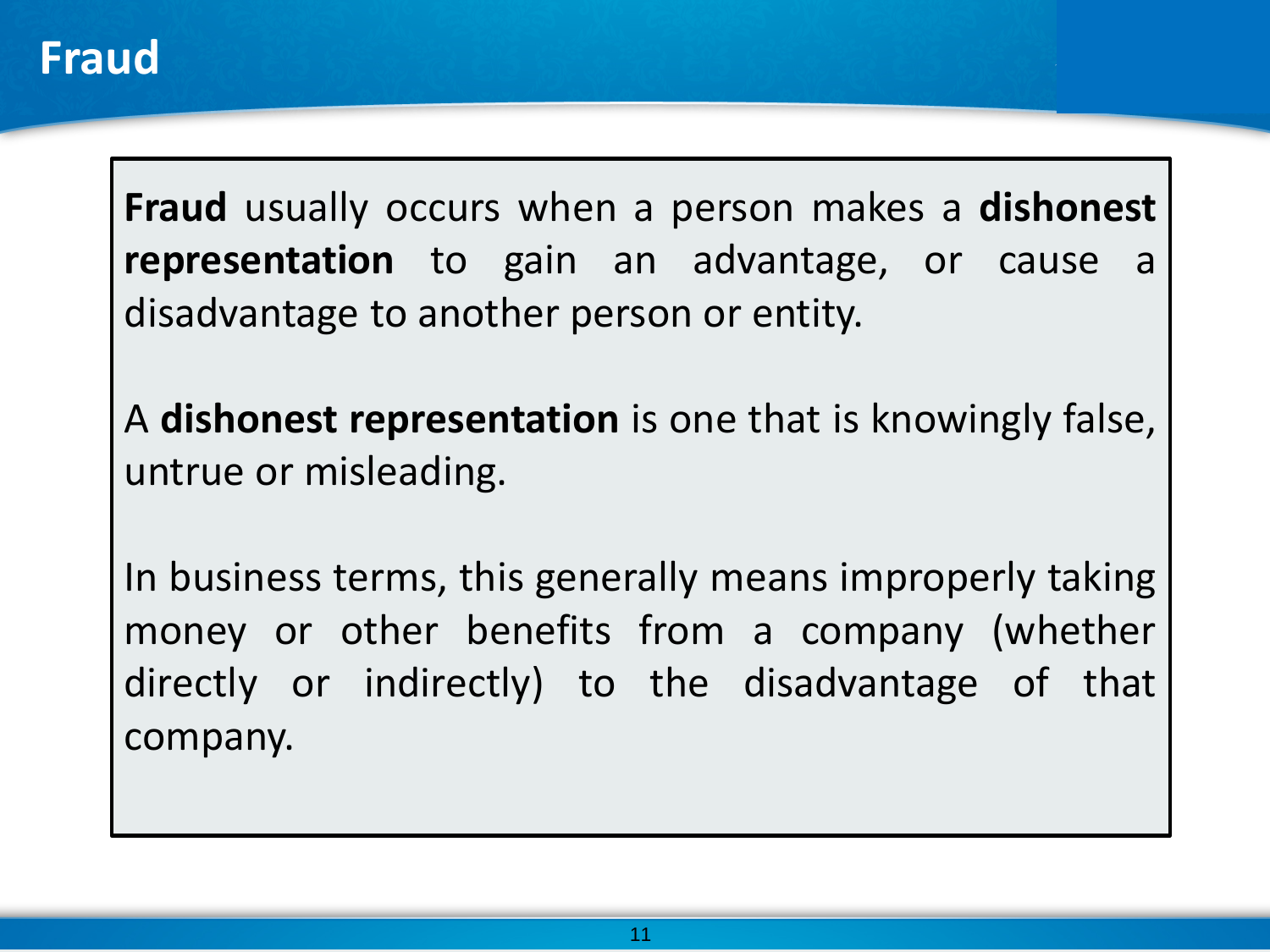**Fraud** usually occurs when a person makes a **dishonest representation** to gain an advantage, or cause a disadvantage to another person or entity.

A **dishonest representation** is one that is knowingly false, untrue or misleading.

In business terms, this generally means improperly taking money or other benefits from a company (whether directly or indirectly) to the disadvantage of that company.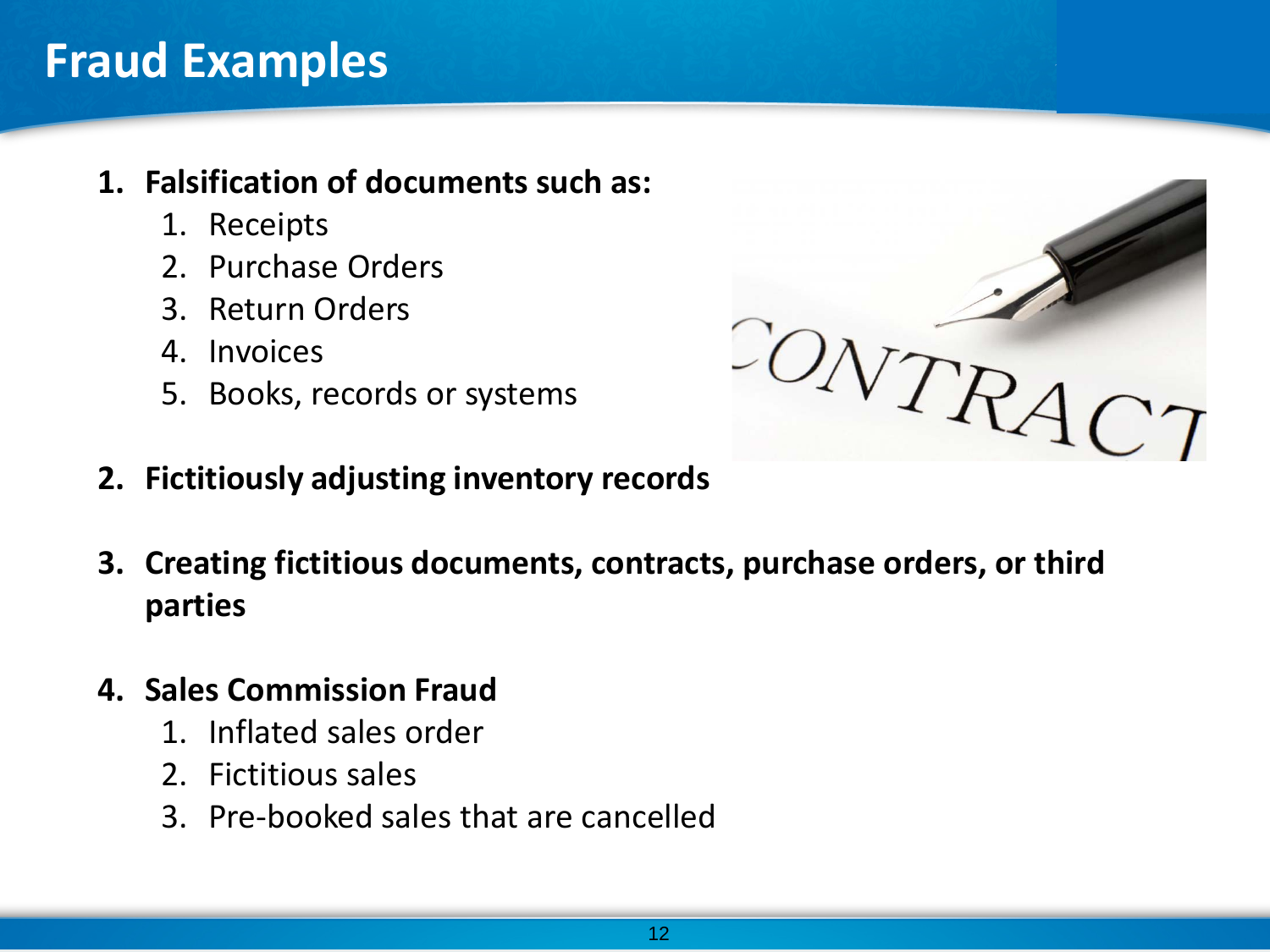### **Fraud Examples**

### **1. Falsification of documents such as:**

- 1. Receipts
- 2. Purchase Orders
- 3. Return Orders
- 4. Invoices
- 5. Books, records or systems



- **2. Fictitiously adjusting inventory records**
- **3. Creating fictitious documents, contracts, purchase orders, or third parties**
- **4. Sales Commission Fraud**
	- 1. Inflated sales order
	- 2. Fictitious sales
	- 3. Pre-booked sales that are cancelled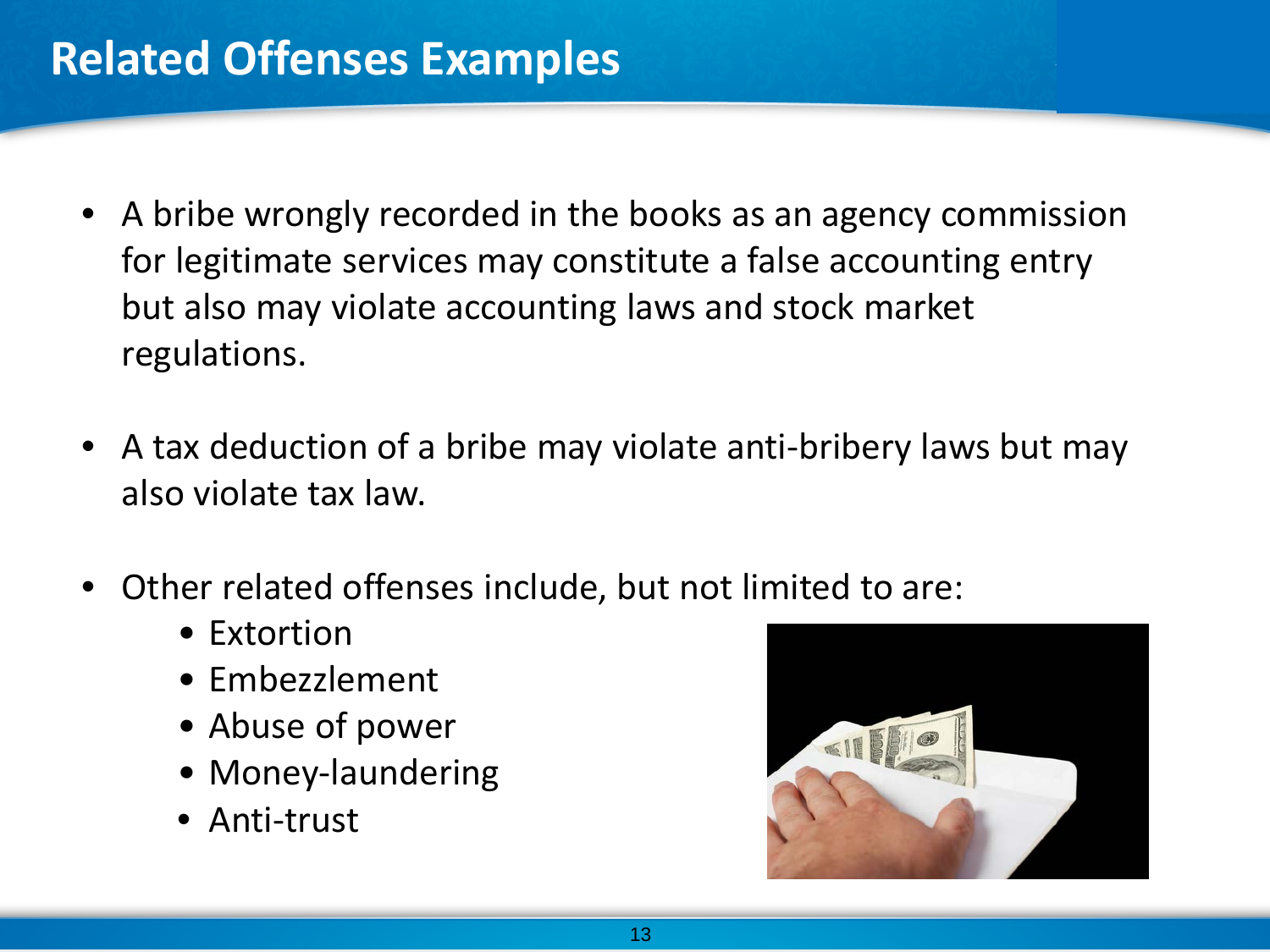- A bribe wrongly recorded in the books as an agency commission for legitimate services may constitute a false accounting entry but also may violate accounting laws and stock market regulations.
- A tax deduction of a bribe may violate anti-bribery laws but may also violate tax law.
- Other related offenses include, but not limited to are:
	- Extortion
	- Embezzlement
	- Abuse of power
	- Money-laundering
	- Anti-trust

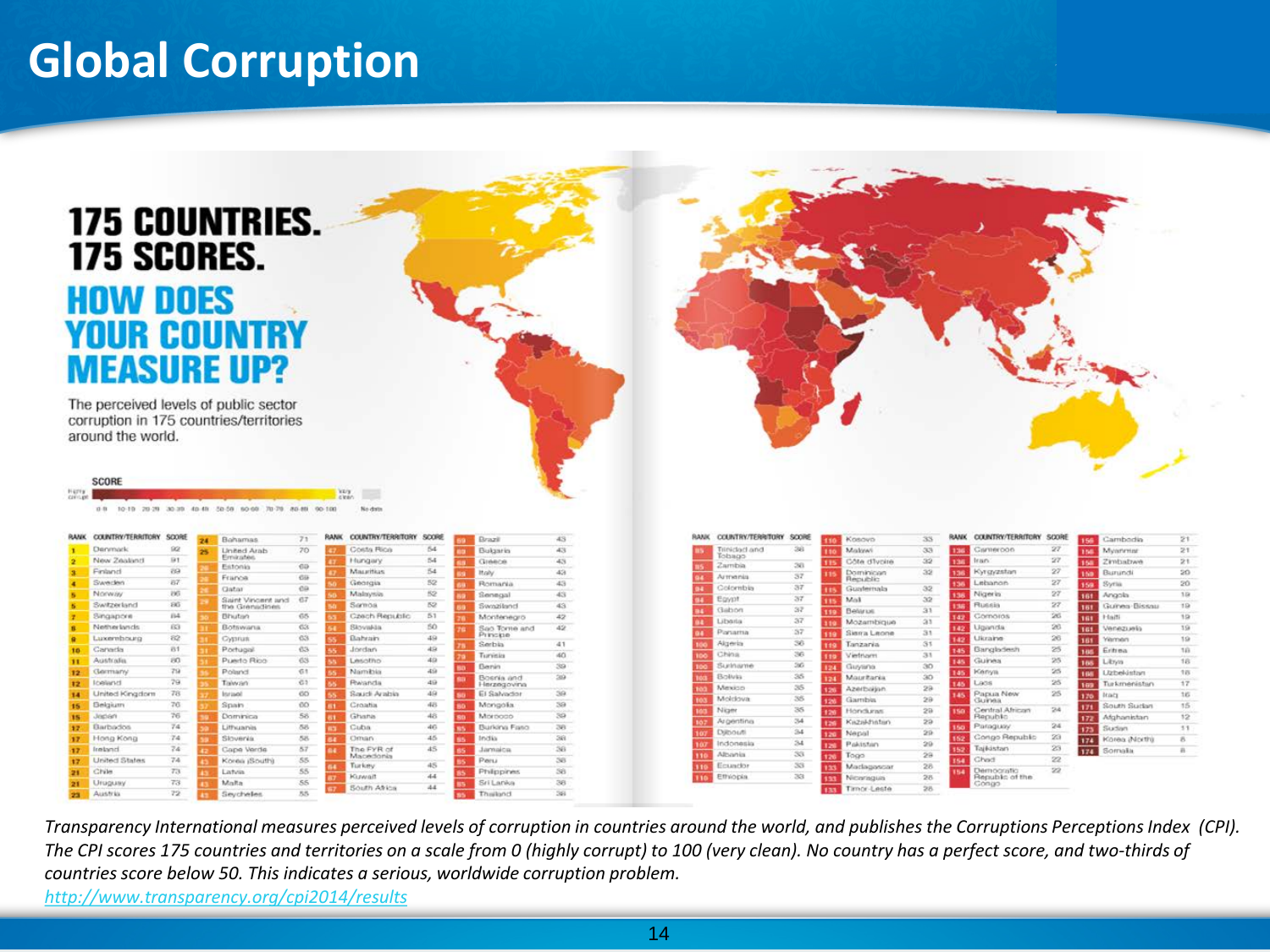## **Global Corruption**

| <b>175 SCORES.</b><br><b>HOW DOES</b>                                                                                |                          | <b>175 COUNTRIES.</b><br><b>YOUR COUNTRY</b><br><b>MEASURE UP?</b>               |            |                           |                                       |           |      |                          |                 |                          |                 |                              |                             |            |                            |    |
|----------------------------------------------------------------------------------------------------------------------|--------------------------|----------------------------------------------------------------------------------|------------|---------------------------|---------------------------------------|-----------|------|--------------------------|-----------------|--------------------------|-----------------|------------------------------|-----------------------------|------------|----------------------------|----|
| around the world.                                                                                                    |                          | The perceived levels of public sector<br>corruption in 175 countries/territories |            |                           |                                       |           |      |                          |                 |                          |                 |                              |                             |            |                            |    |
|                                                                                                                      |                          |                                                                                  |            | VE/3                      |                                       |           |      |                          |                 |                          |                 |                              |                             |            |                            |    |
|                                                                                                                      |                          | 0.8 10.19 20.29 30.39 40.49 50.59 90.69 70.79 80.49 90.100                       |            | clea<br>No date           |                                       |           |      |                          |                 |                          |                 |                              |                             |            |                            | 21 |
| COUNTRY/TERRITORY SCORE                                                                                              |                          | Bahamas                                                                          | RANK<br>71 | COUNTRY/TERRITORY SCORE   | Drazil                                | 43        | RANK | <b>COUNTRY/TERRITORY</b> | SOORE           | Kosovo                   | 33              | RANK                         | <b>COUNTRY/TERRITORY</b>    | SOORE      | Cambodia<br><b>SAL</b>     | 21 |
| <b>Derymark</b>                                                                                                      | 9Q                       | United Arab<br>Emirativa                                                         | 70         | Dosta Rica                | 64<br>Bulgaria                        | 43        |      | Trinidad and<br>fobago   | 38              | Malawi                   | 33              | Cameroon<br><b>Fact</b>      |                             | $27\,$     | Myarirrian<br>150          |    |
| New Zealand                                                                                                          | B1                       | Estonia                                                                          | $60$       | Hungary                   | 54<br><b>Greece</b>                   | 43        |      | Zambia                   | 38              | Côte d'Ivoire            | 32              | Iran.<br>i SR                |                             | $27\,$     | Zimbabwe<br>158            |    |
|                                                                                                                      | 69                       | France                                                                           | 69         | Mauritius                 | 54<br>Italy                           | 43        |      | Armenia                  | 37              | Dominician<br>Republic   | 32              | Kyrgyzstan<br>i 56           |                             | 27         | Burundi<br>150             |    |
|                                                                                                                      | 87<br>PAS                | Gatar                                                                            | 00         | Georgia                   | 52<br>Romania.                        | 43        |      | Colombia                 | 37              | Guatemala                | 32              | Lebanon<br>ьü                |                             | 27         | Syria<br>159               |    |
| Finland<br>Sweden<br>Norway                                                                                          |                          | Saint Vincent and                                                                | $-67$      | Mateursie                 | 52<br>Senegal                         | 43        |      | Egypt                    | 37              | Mok                      | 32              | Nigeria<br><b>ISB</b>        |                             | 27         | 161<br>Angola              |    |
| Switzerland                                                                                                          | EKG <sup>-</sup><br>84.4 | fine Connuctines                                                                 |            | Samoa                     | 52<br>Swaziland                       | 43        |      | Gabon                    | 37              | Belarus                  | 31              | Russia<br>i su               |                             | ${\bf Z}7$ | Guines-Bissau<br>181       |    |
| Singapore                                                                                                            |                          | Bhutan                                                                           | 65         | Casch Republic            | 51<br>Montenegro                      | 42        |      | Liberia                  | 37              | Mozambique               | $^{21}$         | Cornoros<br>142              |                             | 26         | 161<br>Haiti               |    |
|                                                                                                                      | 63                       | Botswaria.                                                                       | 63         | Skovakia                  | 50<br>San Torne and<br>Principe<br>49 | 42        |      | Portama                  | 37              | Sierra Leone             | 31              | Uganda<br>142                |                             | 26         | 161<br>Venezuela<br>Väsman |    |
|                                                                                                                      | 82<br>81                 | Oystrus<br>Portugal.                                                             | 63<br>63   | Bahrain<br>Jordan         | Serbia<br>49                          | 41        |      | Algeria                  | 36              | Tanzaria                 | 31              | Ukraine<br>142<br>Bangladesh |                             | 26<br>25   | 18T<br>Eritrea             |    |
|                                                                                                                      |                          |                                                                                  |            |                           | Turvitia                              | 40        |      | China                    | 36              | Vierfrizum               | 31              | 145                          |                             |            | 165                        |    |
|                                                                                                                      | 80<br>79                 | Puerto Rico                                                                      | 63<br>61   | Lesotho<br><b>Namibio</b> | 49<br>Benin<br>49                     | 39        |      | Suriname                 | 36              | Guyana<br>24             | 30 <sub>2</sub> | Guinea<br>i dit              |                             | 25<br>25   | Libsys<br>186              |    |
|                                                                                                                      |                          | Poland                                                                           |            |                           | Bosnia and<br>49                      | $200 - 1$ |      | Bolivia                  | 35              | Mauritaria               | 30 <sub>o</sub> | <b>Kenya</b><br>146          |                             |            | Uzbekistan<br>THE          |    |
|                                                                                                                      | 79.                      | Talwan                                                                           | 61         | Rwanda                    | Inrzegovina                           |           |      | Mexico                   | 35              | Azerbaijan<br><b>SHE</b> | 29              | Laos<br>146                  |                             | 25         | Turkmenistan<br>169        |    |
|                                                                                                                      | 78                       | Inrand                                                                           | CO.        | Saudi Arabia              | 49<br>El Salvador                     | 39        |      | Moldova                  | 35              | Garnba                   | 29              | lurvaa                       | Papua New                   | 25         | 170<br>Icouts              |    |
|                                                                                                                      | 76                       | Spain                                                                            | eo.        | Croatia                   | 48<br>Mongolia                        | 39        |      | Niger                    | 35              | Honduras                 | 29              |                              | Central African             | 24         | South Sudan<br>171         |    |
| Netherlands<br>Luxembourg<br>Canada<br>Australia<br><b>Germany</b><br>loeland<br>United Kingdom<br>Belgium<br>Jeplen | 76                       | Dominica                                                                         | 58         | Ghana                     | 48<br>Morocco                         | 39        |      | Argentina                | 34              | Kazaldatatan<br>ы        | 29              | <b>Bepublic</b>              |                             |            | Afghanistan<br>172         |    |
| Barbados                                                                                                             | 74                       | Lithuania                                                                        | 56         | Cuba                      | 46<br>Burking Faso                    | 38        |      | Diltiouti                | 34              | Nepal<br><b>Set</b>      | 29              | Paraguay                     |                             | $^{24}$    | Sudan<br>123               |    |
| Hong Kong                                                                                                            | 74.                      | Slovenia                                                                         | 58.        | Oman                      | 45<br>trictics                        | 38        |      | Indonesia                | 34              | Pakistien<br>×           | $20 -$          |                              | Congo Republic              | 23         | 174<br>Korea (North)       |    |
| Irestand                                                                                                             | 74                       | Cape Verde                                                                       | 57         | The FYR of<br>Macedonia   | 45<br>Jamaica                         | 36        | 330  | Albania                  | 38 <sub>3</sub> | Togo<br>i bili           | 29              | Tajlidstan                   |                             | 23         | 174<br>Sornalis            |    |
|                                                                                                                      | 74                       | Korea (South)                                                                    | SS.        | Turkey                    | Peru<br>45                            | 38        | 3.19 | Ecuador                  | 33              | Madagascar               | 28              | Chad<br>s.                   |                             | 22         |                            |    |
| United States<br>Chile<br>Uruguay                                                                                    | 73.<br>73.               | Listens<br>Malta                                                                 | 55<br>55   | Kuwait                    | Philippines<br>44<br>Sri Lanka        | 56<br>38  |      | Ethiopia                 | 33              | Niceragua                | 28              | cesso.                       | Democratic<br>arti to afthe | $22\,$     |                            |    |

*Transparency International measures perceived levels of corruption in countries around the world, and publishes the Corruptions Perceptions Index (CPI). The CPI scores 175 countries and territories on a scale from 0 (highly corrupt) to 100 (very clean). No country has a perfect score, and two-thirds of countries score below 50. This indicates a serious, worldwide corruption problem.* 

*<http://www.transparency.org/cpi2014/results>*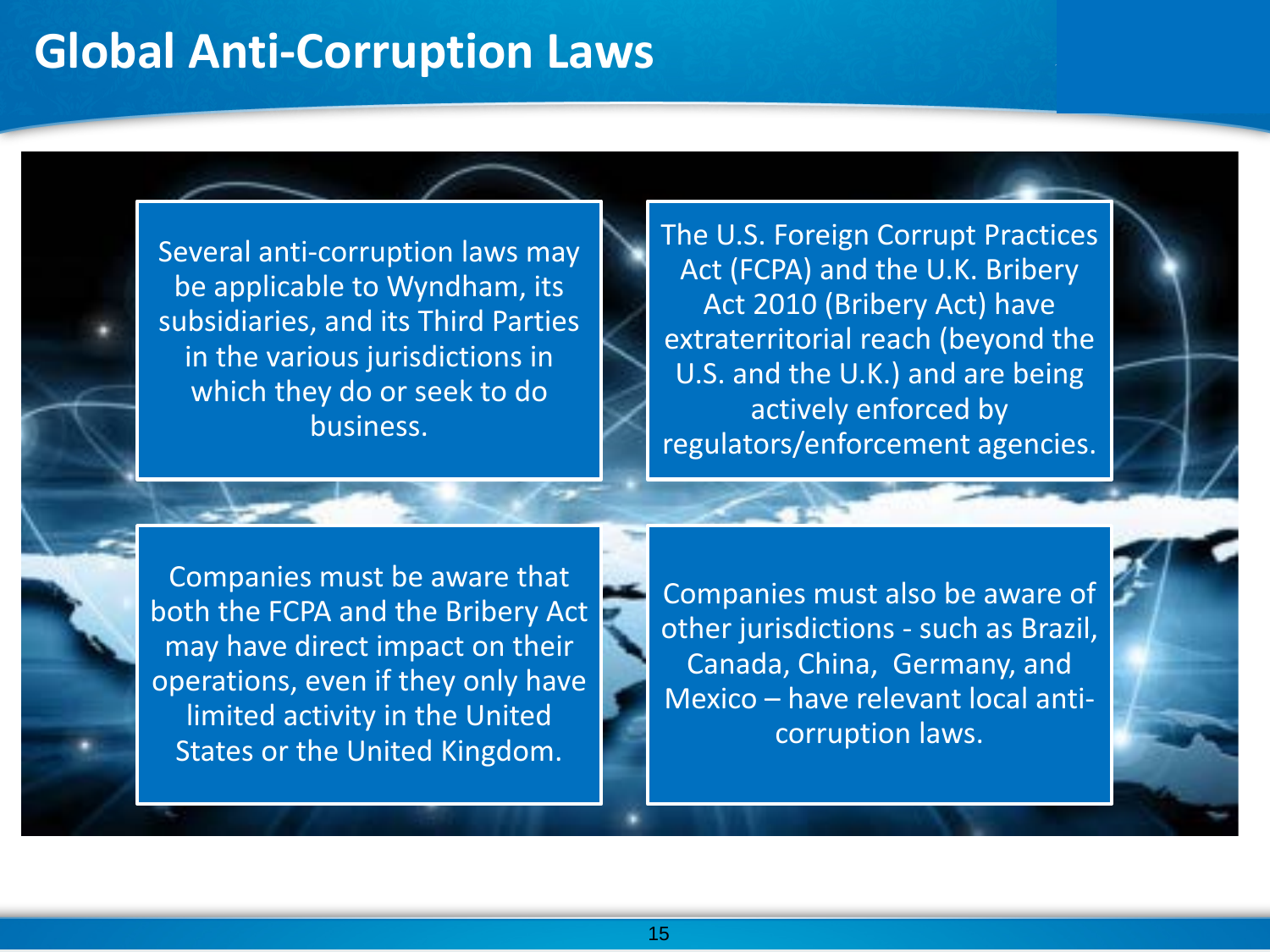### **Global Anti-Corruption Laws**

Several anti-corruption laws may be applicable to Wyndham, its subsidiaries, and its Third Parties in the various jurisdictions in which they do or seek to do business.

The U.S. Foreign Corrupt Practices Act (FCPA) and the U.K. Bribery Act 2010 (Bribery Act) have extraterritorial reach (beyond the U.S. and the U.K.) and are being actively enforced by regulators/enforcement agencies.

Companies must be aware that both the FCPA and the Bribery Act may have direct impact on their operations, even if they only have limited activity in the United States or the United Kingdom.

Companies must also be aware of other jurisdictions - such as Brazil, Canada, China, Germany, and Mexico – have relevant local anticorruption laws.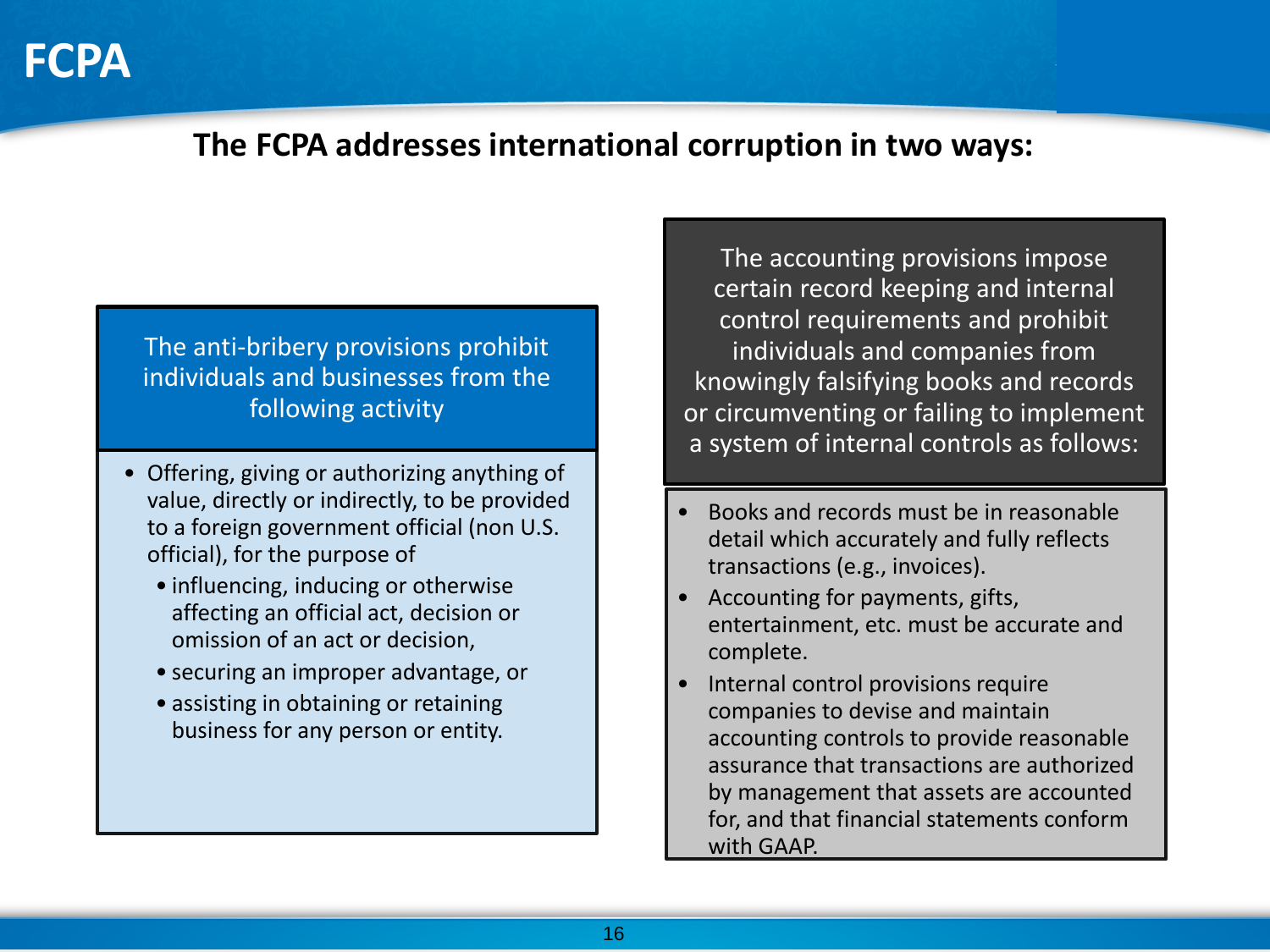

### **The FCPA addresses international corruption in two ways:**

#### The anti-bribery provisions prohibit individuals and businesses from the following activity

- Offering, giving or authorizing anything of value, directly or indirectly, to be provided to a foreign government official (non U.S. official), for the purpose of
	- influencing, inducing or otherwise affecting an official act, decision or omission of an act or decision,
	- securing an improper advantage, or
	- assisting in obtaining or retaining business for any person or entity.

The accounting provisions impose certain record keeping and internal control requirements and prohibit individuals and companies from knowingly falsifying books and records or circumventing or failing to implement a system of internal controls as follows:

- Books and records must be in reasonable detail which accurately and fully reflects transactions (e.g., invoices).
- Accounting for payments, gifts, entertainment, etc. must be accurate and complete.
- Internal control provisions require companies to devise and maintain accounting controls to provide reasonable assurance that transactions are authorized by management that assets are accounted for, and that financial statements conform with GAAP.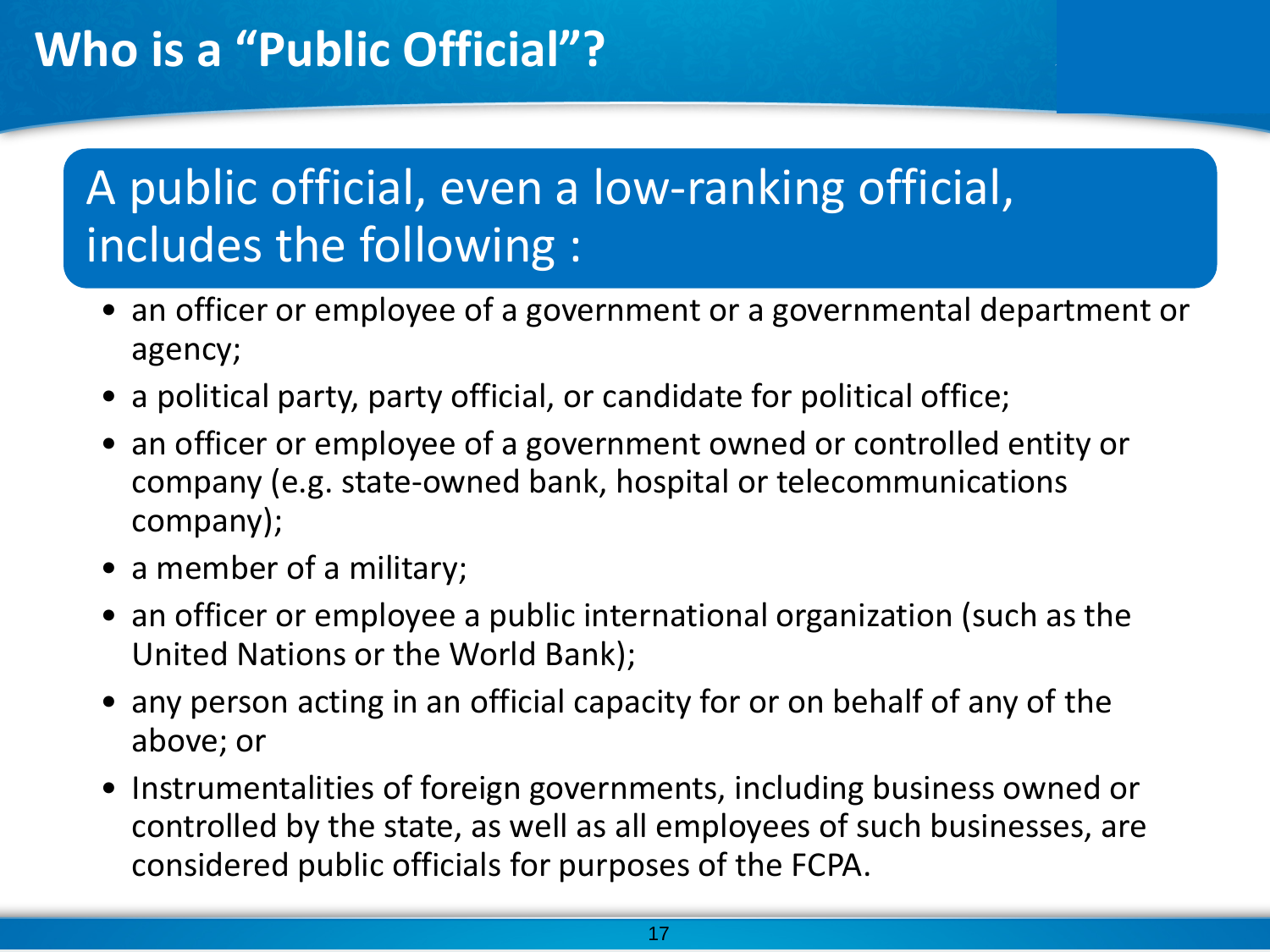# A public official, even a low-ranking official, includes the following :

- an officer or employee of a government or a governmental department or agency;
- a political party, party official, or candidate for political office;
- an officer or employee of a government owned or controlled entity or company (e.g. state-owned bank, hospital or telecommunications company);
- a member of a military;
- an officer or employee a public international organization (such as the United Nations or the World Bank);
- any person acting in an official capacity for or on behalf of any of the above; or
- Instrumentalities of foreign governments, including business owned or controlled by the state, as well as all employees of such businesses, are considered public officials for purposes of the FCPA.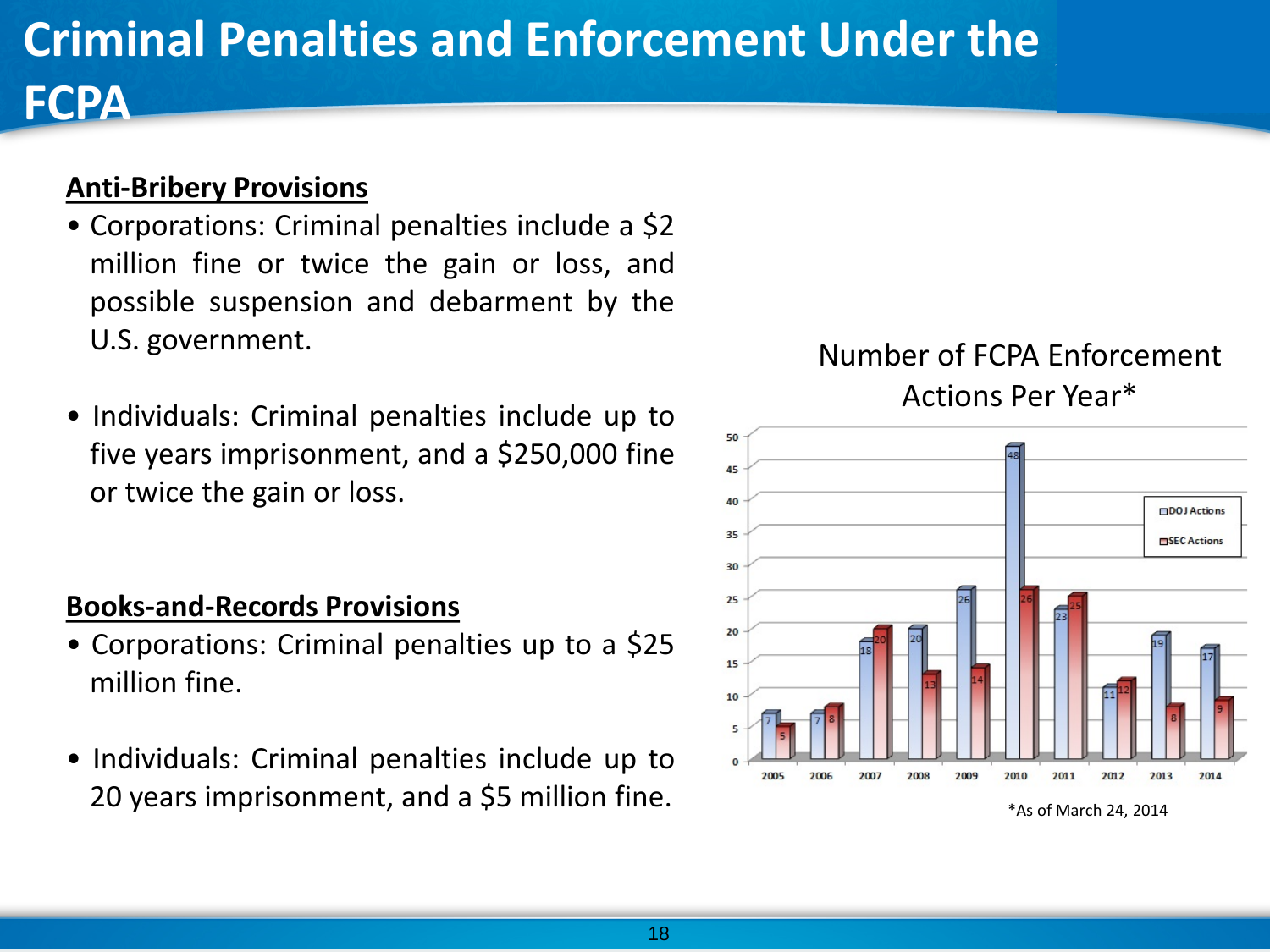# **Criminal Penalties and Enforcement Under the**

### **Anti-Bribery Provisions**

**FCPA**

- Corporations: Criminal penalties include a \$2 million fine or twice the gain or loss, and possible suspension and debarment by the U.S. government.
- Individuals: Criminal penalties include up to five years imprisonment, and a \$250,000 fine or twice the gain or loss.

#### **Books-and-Records Provisions**

- Corporations: Criminal penalties up to a \$25 million fine.
- Individuals: Criminal penalties include up to 20 years imprisonment, and a \$5 million fine.

### Number of FCPA Enforcement Actions Per Year\*

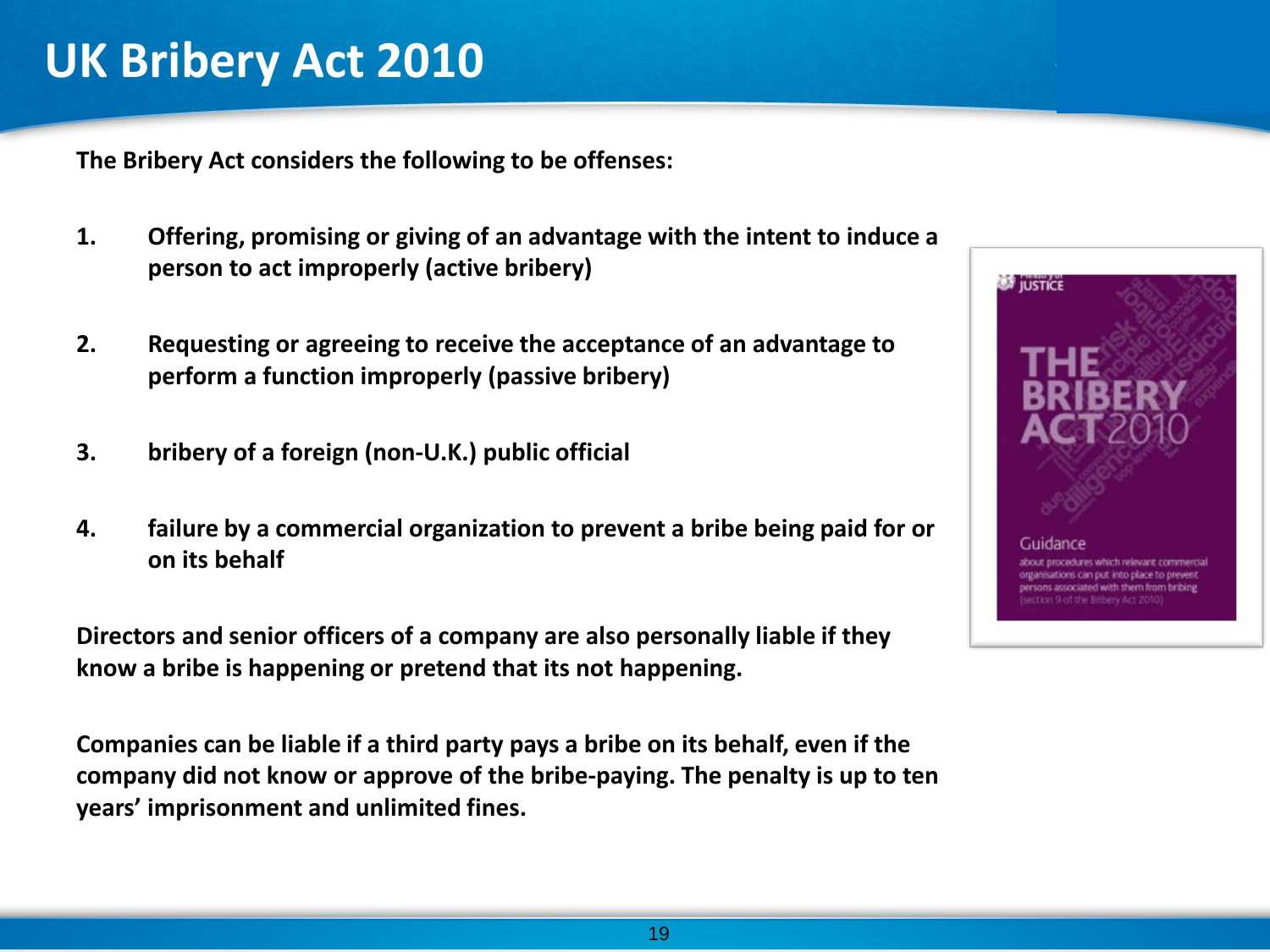## **UK Bribery Act 2010**

**The Bribery Act considers the following to be offenses:**

- **1. Offering, promising or giving of an advantage with the intent to induce a person to act improperly (active bribery)**
- **2. Requesting or agreeing to receive the acceptance of an advantage to perform a function improperly (passive bribery)**
- **3. bribery of a foreign (non-U.K.) public official**
- **4. failure by a commercial organization to prevent a bribe being paid for or on its behalf**

**Directors and senior officers of a company are also personally liable if they know a bribe is happening or pretend that its not happening.** 

**Companies can be liable if a third party pays a bribe on its behalf, even if the company did not know or approve of the bribe-paying. The penalty is up to ten years' imprisonment and unlimited fines.**

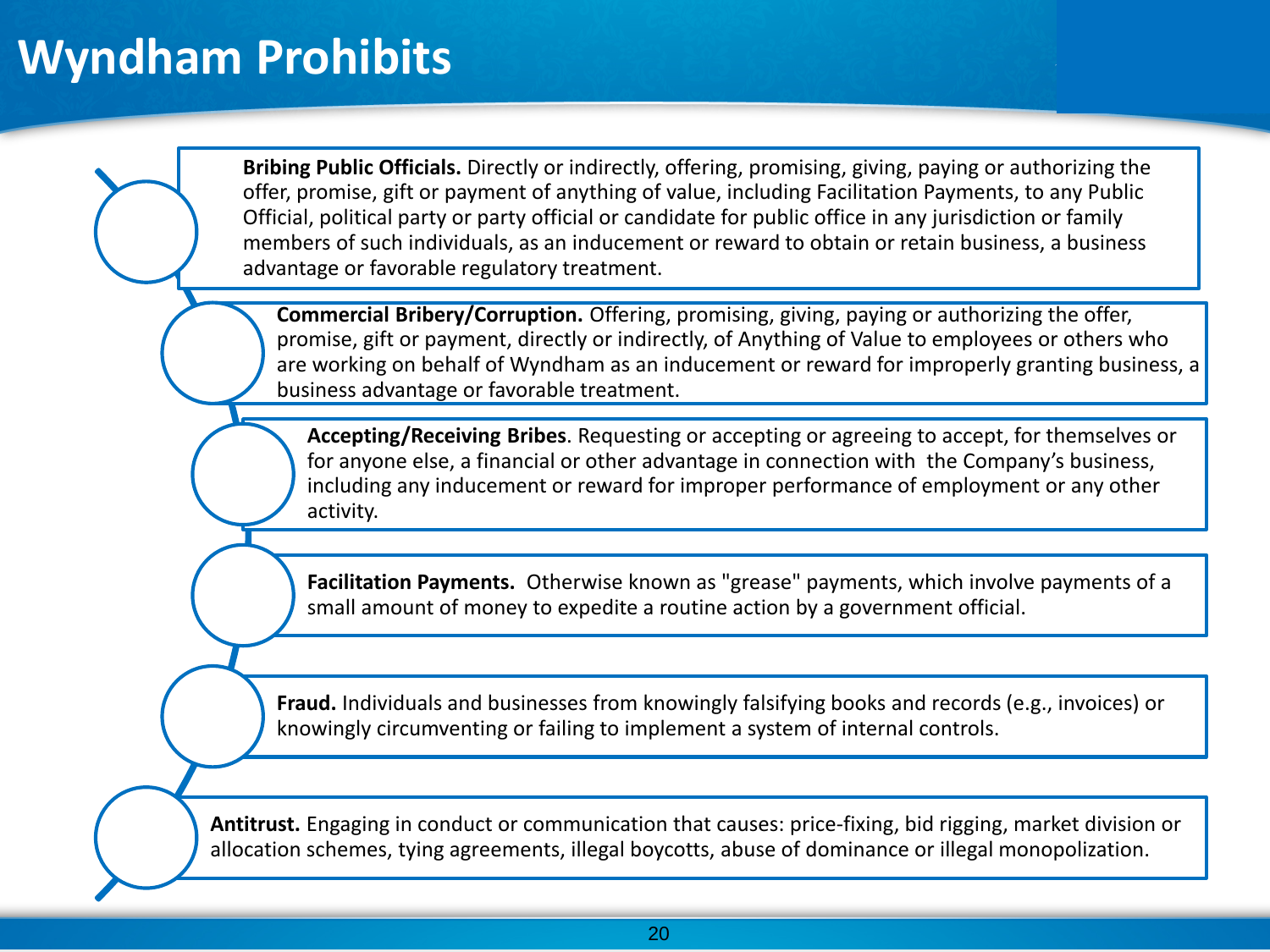# **Wyndham Prohibits**

**Bribing Public Officials.** Directly or indirectly, offering, promising, giving, paying or authorizing the offer, promise, gift or payment of anything of value, including Facilitation Payments, to any Public Official, political party or party official or candidate for public office in any jurisdiction or family members of such individuals, as an inducement or reward to obtain or retain business, a business advantage or favorable regulatory treatment.

**Commercial Bribery/Corruption.** Offering, promising, giving, paying or authorizing the offer, promise, gift or payment, directly or indirectly, of Anything of Value to employees or others who are working on behalf of Wyndham as an inducement or reward for improperly granting business, a business advantage or favorable treatment.

**Accepting/Receiving Bribes**. Requesting or accepting or agreeing to accept, for themselves or for anyone else, a financial or other advantage in connection with the Company's business, including any inducement or reward for improper performance of employment or any other activity.

**Facilitation Payments.** Otherwise known as "grease" payments, which involve payments of a small amount of money to expedite a routine action by a government official.

**Fraud.** Individuals and businesses from knowingly falsifying books and records (e.g., invoices) or knowingly circumventing or failing to implement a system of internal controls.

**Antitrust.** Engaging in conduct or communication that causes: price-fixing, bid rigging, market division or allocation schemes, tying agreements, illegal boycotts, abuse of dominance or illegal monopolization.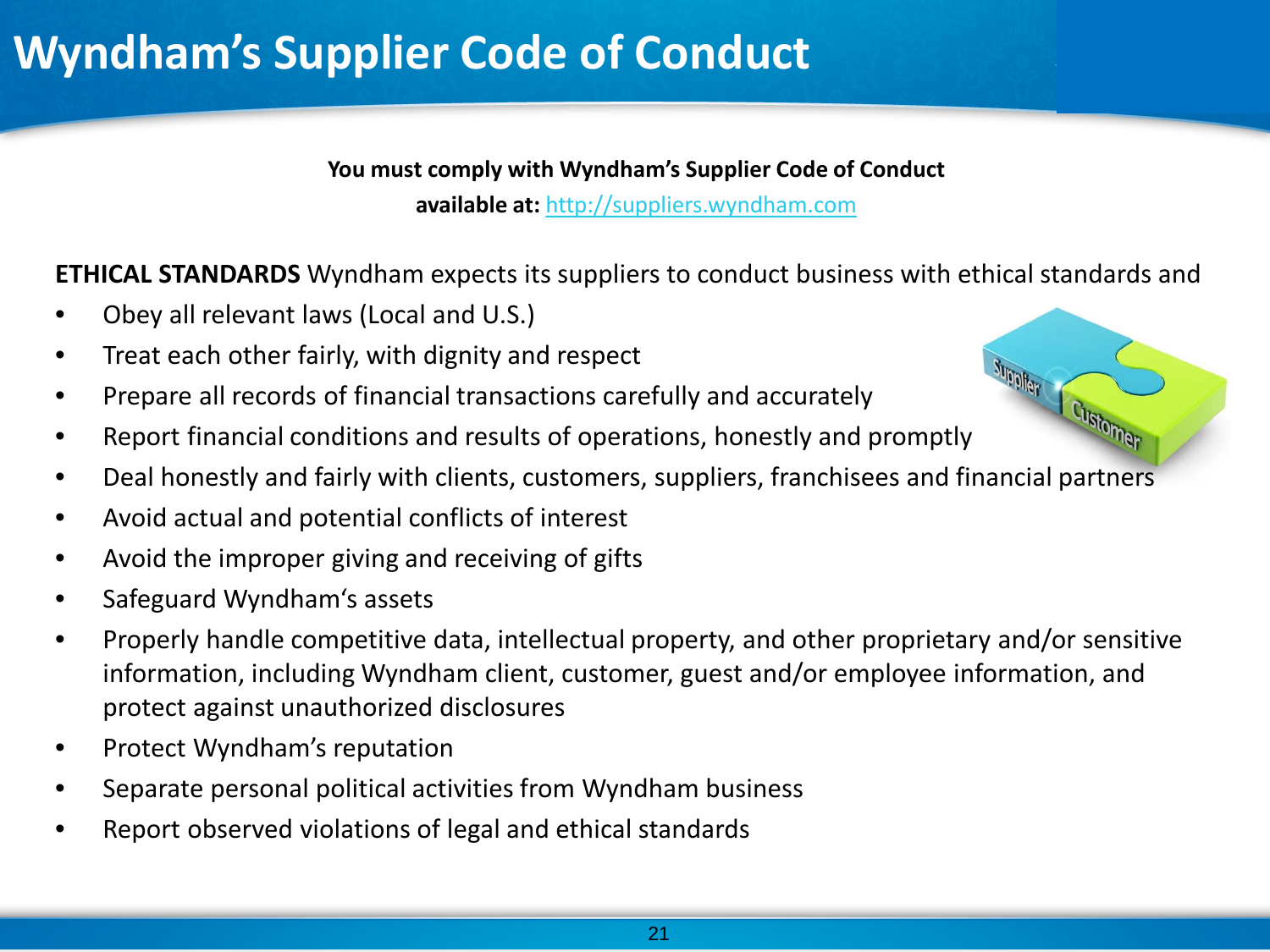# **Wyndham's Supplier Code of Conduct**

**You must comply with Wyndham's Supplier Code of Conduct**

**available at:** [http://suppliers.wyndham.com](http://suppliers.wyndham.com/)

**ETHICAL STANDARDS** Wyndham expects its suppliers to conduct business with ethical standards and

- Obey all relevant laws (Local and U.S.)
- Treat each other fairly, with dignity and respect
- Prepare all records of financial transactions carefully and accurately
- **•** Treat each only is a prepare all records of financial transactions carefully and accurace,<br>• Report financial conditions and results of operations, honestly and promptly
- Deal honestly and fairly with clients, customers, suppliers, franchisees and financial partners
- Avoid actual and potential conflicts of interest
- Avoid the improper giving and receiving of gifts
- Safeguard Wyndham's assets
- Properly handle competitive data, intellectual property, and other proprietary and/or sensitive information, including Wyndham client, customer, guest and/or employee information, and protect against unauthorized disclosures
- Protect Wyndham's reputation
- Separate personal political activities from Wyndham business
- Report observed violations of legal and ethical standards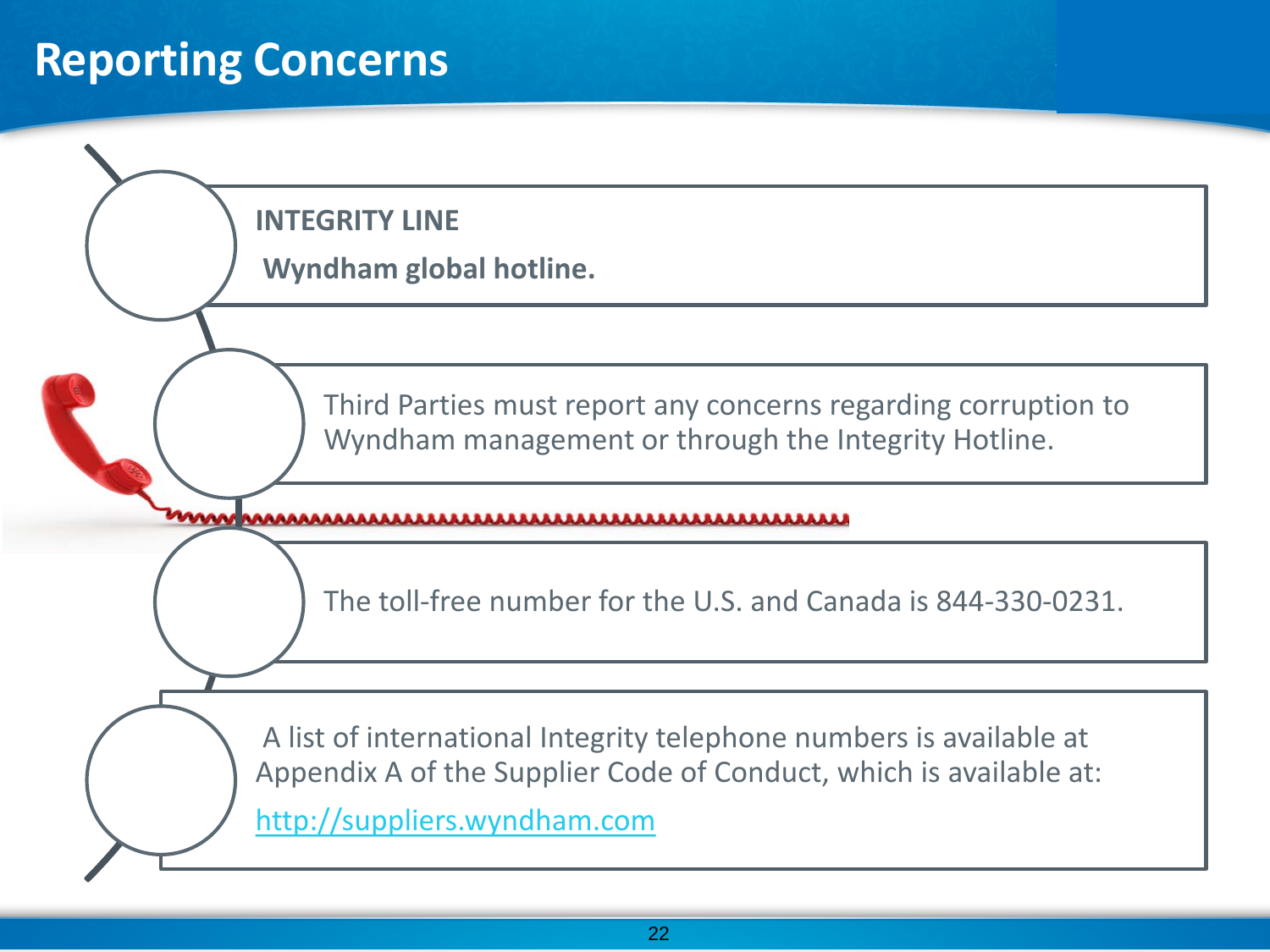### **Reporting Concerns**

**INTEGRITY LINE**

**Wyndham global hotline.**

Third Parties must report any concerns regarding corruption to Wyndham management or through the Integrity Hotline.

The toll-free number for the U.S. and Canada is 844-330-0231.

A list of international Integrity telephone numbers is available at Appendix A of the Supplier Code of Conduct, which is available at: [http://suppliers.wyndham.com](http://suppliers.wyndham.com/)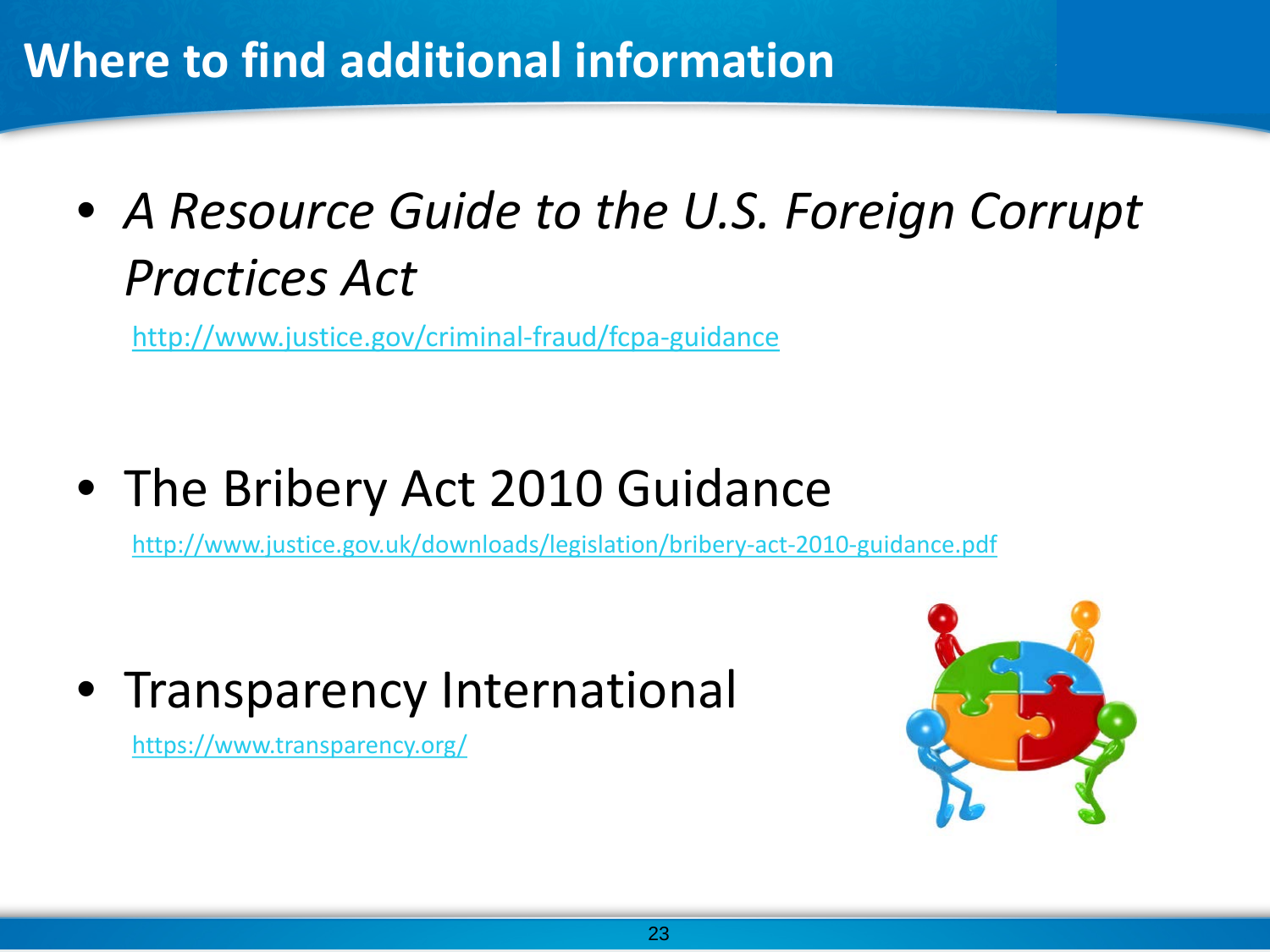# **Where to find additional information**

• *A Resource Guide to the U.S. Foreign Corrupt Practices Act*

<http://www.justice.gov/criminal-fraud/fcpa-guidance>

• The Bribery Act 2010 Guidance

<http://www.justice.gov.uk/downloads/legislation/bribery-act-2010-guidance.pdf>

• Transparency International

<https://www.transparency.org/>